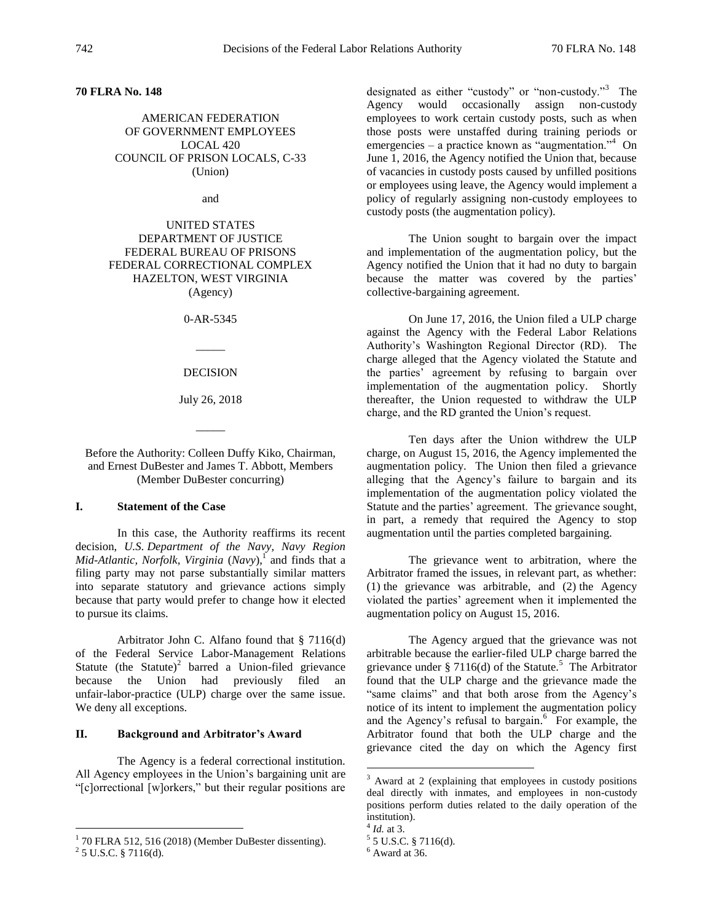# **70 FLRA No. 148**

AMERICAN FEDERATION OF GOVERNMENT EMPLOYEES LOCAL 420 COUNCIL OF PRISON LOCALS, C-33 (Union)

and

UNITED STATES DEPARTMENT OF JUSTICE FEDERAL BUREAU OF PRISONS FEDERAL CORRECTIONAL COMPLEX HAZELTON, WEST VIRGINIA (Agency)

0-AR-5345

DECISION

 $\overline{\phantom{a}}$ 

July 26, 2018

 $\overline{\phantom{a}}$ 

Before the Authority: Colleen Duffy Kiko, Chairman, and Ernest DuBester and James T. Abbott, Members (Member DuBester concurring)

# **I. Statement of the Case**

In this case, the Authority reaffirms its recent decision, *U.S. Department of the Navy, Navy Region Mid-Atlantic, Norfolk, Virginia* (*Navy*),<sup>1</sup> and finds that a filing party may not parse substantially similar matters into separate statutory and grievance actions simply because that party would prefer to change how it elected to pursue its claims.

Arbitrator John C. Alfano found that § 7116(d) of the Federal Service Labor-Management Relations Statute (the Statute)<sup>2</sup> barred a Union-filed grievance because the Union had previously filed an unfair-labor-practice (ULP) charge over the same issue. We deny all exceptions.

## **II. Background and Arbitrator's Award**

The Agency is a federal correctional institution. All Agency employees in the Union's bargaining unit are "[c]orrectional [w]orkers," but their regular positions are

designated as either "custody" or "non-custody."<sup>3</sup> The Agency would occasionally assign non-custody employees to work certain custody posts, such as when those posts were unstaffed during training periods or emergencies – a practice known as "augmentation."<sup>4</sup> On June 1, 2016, the Agency notified the Union that, because of vacancies in custody posts caused by unfilled positions or employees using leave, the Agency would implement a policy of regularly assigning non-custody employees to custody posts (the augmentation policy).

The Union sought to bargain over the impact and implementation of the augmentation policy, but the Agency notified the Union that it had no duty to bargain because the matter was covered by the parties' collective-bargaining agreement.

On June 17, 2016, the Union filed a ULP charge against the Agency with the Federal Labor Relations Authority's Washington Regional Director (RD). The charge alleged that the Agency violated the Statute and the parties' agreement by refusing to bargain over implementation of the augmentation policy. Shortly thereafter, the Union requested to withdraw the ULP charge, and the RD granted the Union's request.

Ten days after the Union withdrew the ULP charge, on August 15, 2016, the Agency implemented the augmentation policy. The Union then filed a grievance alleging that the Agency's failure to bargain and its implementation of the augmentation policy violated the Statute and the parties' agreement. The grievance sought, in part, a remedy that required the Agency to stop augmentation until the parties completed bargaining.

The grievance went to arbitration, where the Arbitrator framed the issues, in relevant part, as whether: (1) the grievance was arbitrable, and (2) the Agency violated the parties' agreement when it implemented the augmentation policy on August 15, 2016.

The Agency argued that the grievance was not arbitrable because the earlier-filed ULP charge barred the grievance under § 7116(d) of the Statute.<sup>5</sup> The Arbitrator found that the ULP charge and the grievance made the "same claims" and that both arose from the Agency's notice of its intent to implement the augmentation policy and the Agency's refusal to bargain. 6 For example, the Arbitrator found that both the ULP charge and the grievance cited the day on which the Agency first

 $\overline{a}$ 

 1 70 FLRA 512, 516 (2018) (Member DuBester dissenting).

 $2$  5 U.S.C. § 7116(d).

<sup>&</sup>lt;sup>3</sup> Award at 2 (explaining that employees in custody positions deal directly with inmates, and employees in non-custody positions perform duties related to the daily operation of the institution).

<sup>4</sup> *Id.* at 3.

 $5$  5 U.S.C. § 7116(d).

 $<sup>6</sup>$  Award at 36.</sup>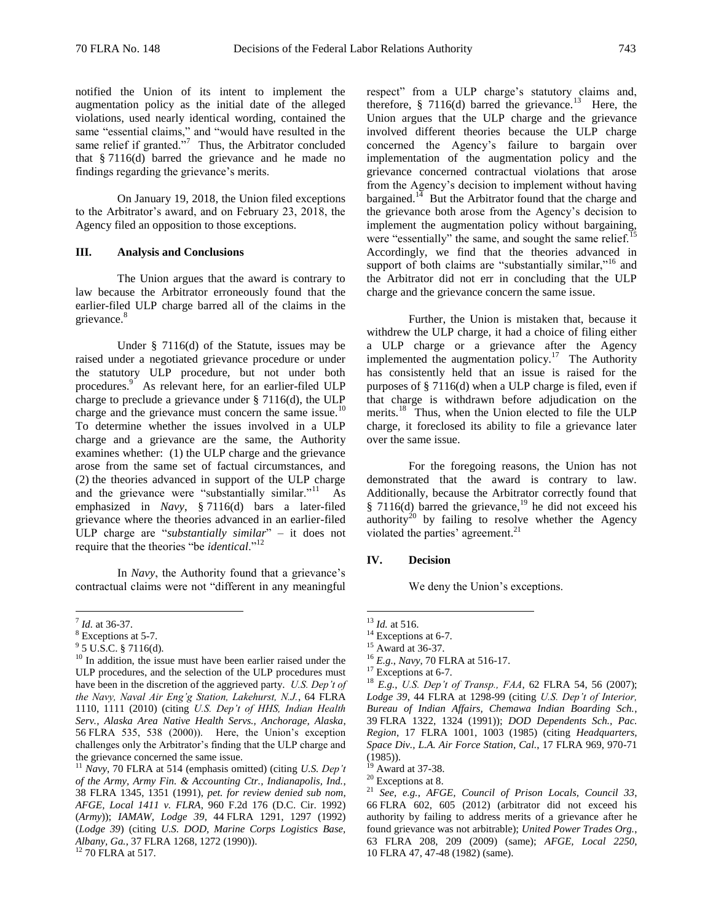notified the Union of its intent to implement the augmentation policy as the initial date of the alleged violations, used nearly identical wording, contained the same "essential claims," and "would have resulted in the same relief if granted."<sup>7</sup> Thus, the Arbitrator concluded that § 7116(d) barred the grievance and he made no findings regarding the grievance's merits.

On January 19, 2018, the Union filed exceptions to the Arbitrator's award, and on February 23, 2018, the Agency filed an opposition to those exceptions.

## **III. Analysis and Conclusions**

The Union argues that the award is contrary to law because the Arbitrator erroneously found that the earlier-filed ULP charge barred all of the claims in the grievance.<sup>8</sup>

Under § 7116(d) of the Statute, issues may be raised under a negotiated grievance procedure or under the statutory ULP procedure, but not under both procedures.<sup>9</sup> As relevant here, for an earlier-filed ULP charge to preclude a grievance under § 7116(d), the ULP charge and the grievance must concern the same issue.<sup>10</sup> To determine whether the issues involved in a ULP charge and a grievance are the same, the Authority examines whether: (1) the ULP charge and the grievance arose from the same set of factual circumstances, and (2) the theories advanced in support of the ULP charge and the grievance were "substantially similar."<sup>11</sup> As emphasized in *Navy*, § 7116(d) bars a later-filed grievance where the theories advanced in an earlier-filed ULP charge are "*substantially similar*" – it does not require that the theories "be *identical*."<sup>12</sup>

In *Navy*, the Authority found that a grievance's contractual claims were not "different in any meaningful

 $\overline{a}$ 

respect" from a ULP charge's statutory claims and, therefore,  $\S$  7116(d) barred the grievance.<sup>13</sup> Here, the Union argues that the ULP charge and the grievance involved different theories because the ULP charge concerned the Agency's failure to bargain over implementation of the augmentation policy and the grievance concerned contractual violations that arose from the Agency's decision to implement without having bargained. $14$  But the Arbitrator found that the charge and the grievance both arose from the Agency's decision to implement the augmentation policy without bargaining, were "essentially" the same, and sought the same relief.<sup>15</sup> Accordingly, we find that the theories advanced in support of both claims are "substantially similar,"<sup>16</sup> and the Arbitrator did not err in concluding that the ULP charge and the grievance concern the same issue.

Further, the Union is mistaken that, because it withdrew the ULP charge, it had a choice of filing either a ULP charge or a grievance after the Agency implemented the augmentation policy.<sup>17</sup> The Authority has consistently held that an issue is raised for the purposes of § 7116(d) when a ULP charge is filed, even if that charge is withdrawn before adjudication on the merits.<sup>18</sup> Thus, when the Union elected to file the ULP charge, it foreclosed its ability to file a grievance later over the same issue.

For the foregoing reasons, the Union has not demonstrated that the award is contrary to law. Additionally, because the Arbitrator correctly found that § 7116(d) barred the grievance,<sup>19</sup> he did not exceed his authority<sup>20</sup> by failing to resolve whether the Agency violated the parties' agreement. 21

#### **IV. Decision**

We deny the Union's exceptions.

 $\overline{a}$ 

<sup>7</sup> *Id.* at 36-37.

<sup>8</sup> Exceptions at 5-7.

 $9^9$  5 U.S.C. § 7116(d).

<sup>&</sup>lt;sup>10</sup> In addition, the issue must have been earlier raised under the ULP procedures, and the selection of the ULP procedures must have been in the discretion of the aggrieved party. *U.S. Dep't of the Navy, Naval Air Eng'g Station, Lakehurst, N.J.*, 64 FLRA 1110, 1111 (2010) (citing *U.S. Dep't of HHS, Indian Health Serv., Alaska Area Native Health Servs., Anchorage, Alaska*, 56 FLRA 535, 538 (2000)). Here, the Union's exception challenges only the Arbitrator's finding that the ULP charge and the grievance concerned the same issue.

<sup>11</sup> *Navy*, 70 FLRA at 514 (emphasis omitted) (citing *U.S. Dep't of the Army, Army Fin. & Accounting Ctr., Indianapolis, Ind.*, 38 FLRA 1345, 1351 (1991), *pet. for review denied sub nom*, *AFGE, Local 1411 v. FLRA*, 960 F.2d 176 (D.C. Cir. 1992) (*Army*)); *IAMAW, Lodge 39*, 44 FLRA 1291, 1297 (1992) (*Lodge 39*) (citing *U.S. DOD, Marine Corps Logistics Base, Albany, Ga.*, 37 FLRA 1268, 1272 (1990)).

<sup>&</sup>lt;sup>12</sup> 70 FLRA at 517.

<sup>13</sup> *Id.* at 516.

 $14$  Exceptions at 6-7.

<sup>&</sup>lt;sup>15</sup> Award at 36-37.

<sup>16</sup> *E.g.*, *Navy*, 70 FLRA at 516-17.

<sup>&</sup>lt;sup>17</sup> Exceptions at 6-7.

<sup>18</sup> *E.g.*, *U.S. Dep't of Transp., FAA*, 62 FLRA 54, 56 (2007); *Lodge 39*, 44 FLRA at 1298-99 (citing *U.S. Dep't of Interior, Bureau of Indian Affairs, Chemawa Indian Boarding Sch.*, 39 FLRA 1322, 1324 (1991)); *DOD Dependents Sch., Pac. Region*, 17 FLRA 1001, 1003 (1985) (citing *Headquarters, Space Div., L.A. Air Force Station, Cal.*, 17 FLRA 969, 970-71 (1985)).

Award at 37-38.

 $20$  Exceptions at 8.

<sup>21</sup> *See, e.g.*, *AFGE, Council of Prison Locals, Council 33*, 66 FLRA 602, 605 (2012) (arbitrator did not exceed his authority by failing to address merits of a grievance after he found grievance was not arbitrable); *United Power Trades Org.*, 63 FLRA 208, 209 (2009) (same); *AFGE, Local 2250*, 10 FLRA 47, 47-48 (1982) (same).